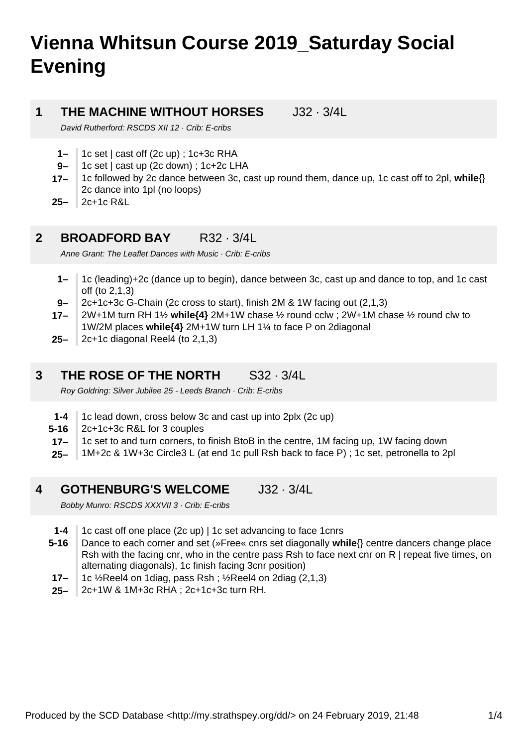# **Vienna Whitsun Course 2019\_Saturday Social Evening**

#### **1 THE MACHINE WITHOUT HORSES** J32 · 3/4L

David Rutherford: RSCDS XII 12 · Crib: E-cribs

- **1–** 1c set | cast off (2c up) ; 1c+3c RHA
- **9–** 1c set | cast up (2c down) ; 1c+2c LHA
- **17–** 1c followed by 2c dance between 3c, cast up round them, dance up, 1c cast off to 2pl, **while**{} 2c dance into 1pl (no loops)
- **25–** 2c+1c R&L

#### **2 BROADFORD BAY** R32 · 3/4L

Anne Grant: The Leaflet Dances with Music · Crib: E-cribs

- **1–** 1c (leading)+2c (dance up to begin), dance between 3c, cast up and dance to top, and 1c cast off (to 2,1,3)
- **9–** 2c+1c+3c G-Chain (2c cross to start), finish 2M & 1W facing out (2,1,3)
- **17–** 2W+1M turn RH 1½ **while{4}** 2M+1W chase ½ round cclw ; 2W+1M chase ½ round clw to 1W/2M places **while{4}** 2M+1W turn LH 1¼ to face P on 2diagonal
- **25–** 2c+1c diagonal Reel4 (to 2,1,3)

#### **3 THE ROSE OF THE NORTH** S32 · 3/4L

Roy Goldring: Silver Jubilee 25 - Leeds Branch · Crib: E-cribs

- **1-4** 1c lead down, cross below 3c and cast up into 2plx (2c up)
- **5-16** 2c+1c+3c R&L for 3 couples
- **17–** 1c set to and turn corners, to finish BtoB in the centre, 1M facing up, 1W facing down
- **25–** 1M+2c & 1W+3c Circle3 L (at end 1c pull Rsh back to face P) ; 1c set, petronella to 2pl

#### **4 GOTHENBURG'S WELCOME** J32 · 3/4L

Bobby Munro: RSCDS XXXVII 3 · Crib: E-cribs

- **1-4** 1c cast off one place (2c up) | 1c set advancing to face 1cnrs
- **5-16** Dance to each corner and set (»Free« cnrs set diagonally **while**{} centre dancers change place Rsh with the facing cnr, who in the centre pass Rsh to face next cnr on R | repeat five times, on alternating diagonals), 1c finish facing 3cnr position)
- **17–** 1c ½Reel4 on 1diag, pass Rsh ; ½Reel4 on 2diag (2,1,3)
- **25–** 2c+1W & 1M+3c RHA ; 2c+1c+3c turn RH.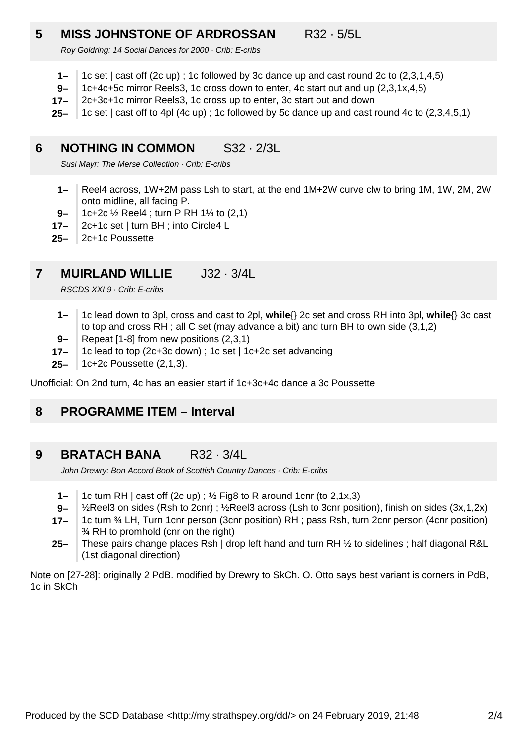### **5 MISS JOHNSTONE OF ARDROSSAN** R32 · 5/5L

Roy Goldring: 14 Social Dances for 2000 · Crib: E-cribs

- **1–** 1c set | cast off (2c up) ; 1c followed by 3c dance up and cast round 2c to (2,3,1,4,5)
- **9–** 1c+4c+5c mirror Reels3, 1c cross down to enter, 4c start out and up (2,3,1x,4,5)
- **17–** 2c+3c+1c mirror Reels3, 1c cross up to enter, 3c start out and down
- **25–** 1c set | cast off to 4pl (4c up) ; 1c followed by 5c dance up and cast round 4c to (2,3,4,5,1)

#### **6 NOTHING IN COMMON** S32 · 2/3L

Susi Mayr: The Merse Collection · Crib: E-cribs

- **1–** Reel4 across, 1W+2M pass Lsh to start, at the end 1M+2W curve clw to bring 1M, 1W, 2M, 2W onto midline, all facing P.
- **9–** 1c+2c ½ Reel4 ; turn P RH 1¼ to (2,1)
- **17–** 2c+1c set | turn BH ; into Circle4 L
- **25–** 2c+1c Poussette

#### **7 MUIRLAND WILLIE** J32 · 3/4L

RSCDS XXI 9 · Crib: E-cribs

- **1–** 1c lead down to 3pl, cross and cast to 2pl, **while**{} 2c set and cross RH into 3pl, **while**{} 3c cast to top and cross RH ; all C set (may advance a bit) and turn BH to own side (3,1,2)
- **9–** Repeat [1-8] from new positions (2,3,1)
- **17–** 1c lead to top (2c+3c down) ; 1c set | 1c+2c set advancing
- **25–** 1c+2c Poussette (2,1,3).

Unofficial: On 2nd turn, 4c has an easier start if 1c+3c+4c dance a 3c Poussette

#### **8 PROGRAMME ITEM – Interval**

#### **9 BRATACH BANA** R32 · 3/4L

John Drewry: Bon Accord Book of Scottish Country Dances · Crib: E-cribs

- **1–** 1c turn RH  $\vert$  cast off (2c up) ;  $\frac{1}{2}$  Fig8 to R around 1cnr (to 2,1x,3)
- **9–** ½Reel3 on sides (Rsh to 2cnr) ; ½Reel3 across (Lsh to 3cnr position), finish on sides (3x,1,2x)
- **17–** 1c turn ¾ LH, Turn 1cnr person (3cnr position) RH ; pass Rsh, turn 2cnr person (4cnr position) ¾ RH to promhold (cnr on the right)
- **25–** These pairs change places Rsh | drop left hand and turn RH ½ to sidelines ; half diagonal R&L (1st diagonal direction)

Note on [27-28]: originally 2 PdB. modified by Drewry to SkCh. O. Otto says best variant is corners in PdB, 1c in SkCh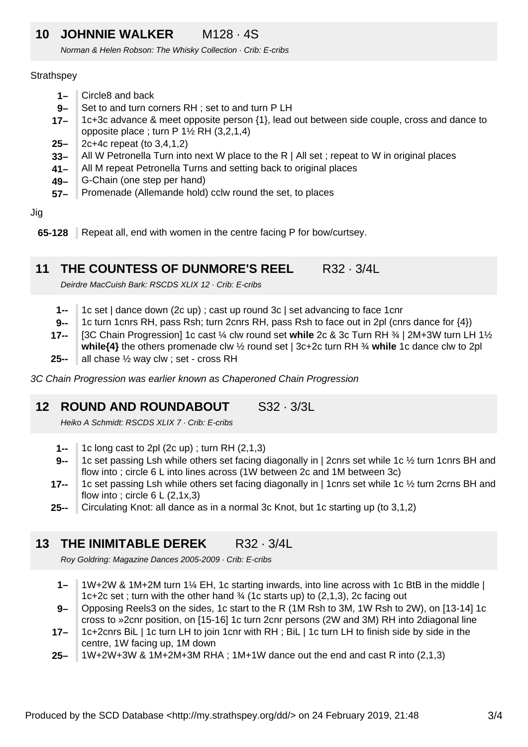## **10 JOHNNIE WALKER** M128 · 4S

Norman & Helen Robson: The Whisky Collection · Crib: E-cribs

### **Strathspey**

- **1–** Circle8 and back
- **9–** Set to and turn corners RH ; set to and turn P LH
- **17–** 1c+3c advance & meet opposite person {1}, lead out between side couple, cross and dance to opposite place ; turn  $P_1\frac{1}{2} RH_1(3,2,1,4)$
- **25–** 2c+4c repeat (to 3,4,1,2)
- **33–** All W Petronella Turn into next W place to the R | All set ; repeat to W in original places
- **41–** All M repeat Petronella Turns and setting back to original places
- **49–** G-Chain (one step per hand)
- **57–** Promenade (Allemande hold) cclw round the set, to places

Jig

**65-128** Repeat all, end with women in the centre facing P for bow/curtsey.

#### **11 THE COUNTESS OF DUNMORE'S REEL R32 · 3/4L**

Deirdre MacCuish Bark: RSCDS XLIX 12 · Crib: E-cribs

- **1--** 1c set | dance down (2c up) ; cast up round 3c | set advancing to face 1cnr
- **9--** 1c turn 1cnrs RH, pass Rsh; turn 2cnrs RH, pass Rsh to face out in 2pl (cnrs dance for {4})
- **17--** [3C Chain Progression] 1c cast ¼ clw round set **while** 2c & 3c Turn RH ¾ | 2M+3W turn LH 1½ **while{4}** the others promenade clw ½ round set | 3c+2c turn RH ¾ **while** 1c dance clw to 2pl
- **25-** all chase 1/<sub>2</sub> way clw ; set - cross RH

3C Chain Progression was earlier known as Chaperoned Chain Progression

#### **12 ROUND AND ROUNDABOUT** S32 · 3/3L

Heiko A Schmidt: RSCDS XLIX 7 · Crib: E-cribs

- **1--** 1c long cast to 2pl (2c up) ; turn RH (2,1,3)
- **9--** 1c set passing Lsh while others set facing diagonally in | 2cnrs set while 1c ½ turn 1cnrs BH and flow into ; circle 6 L into lines across (1W between 2c and 1M between 3c)
- **17--** 1c set passing Lsh while others set facing diagonally in | 1cnrs set while 1c ½ turn 2crns BH and flow into; circle  $6 L (2, 1x, 3)$
- **25--** Circulating Knot: all dance as in a normal 3c Knot, but 1c starting up (to 3,1,2)

#### **13 THE INIMITABLE DEREK** R32 · 3/4L

Roy Goldring: Magazine Dances 2005-2009 · Crib: E-cribs

- **1–** 1W+2W & 1M+2M turn 1¼ EH, 1c starting inwards, into line across with 1c BtB in the middle | 1c+2c set ; turn with the other hand  $\frac{3}{4}$  (1c starts up) to (2,1,3), 2c facing out
- **9–** Opposing Reels3 on the sides, 1c start to the R (1M Rsh to 3M, 1W Rsh to 2W), on [13-14] 1c cross to »2cnr position, on [15-16] 1c turn 2cnr persons (2W and 3M) RH into 2diagonal line
- **17–** 1c+2cnrs BiL | 1c turn LH to join 1cnr with RH ; BiL | 1c turn LH to finish side by side in the centre, 1W facing up, 1M down
- **25–** 1W+2W+3W & 1M+2M+3M RHA ; 1M+1W dance out the end and cast R into (2,1,3)